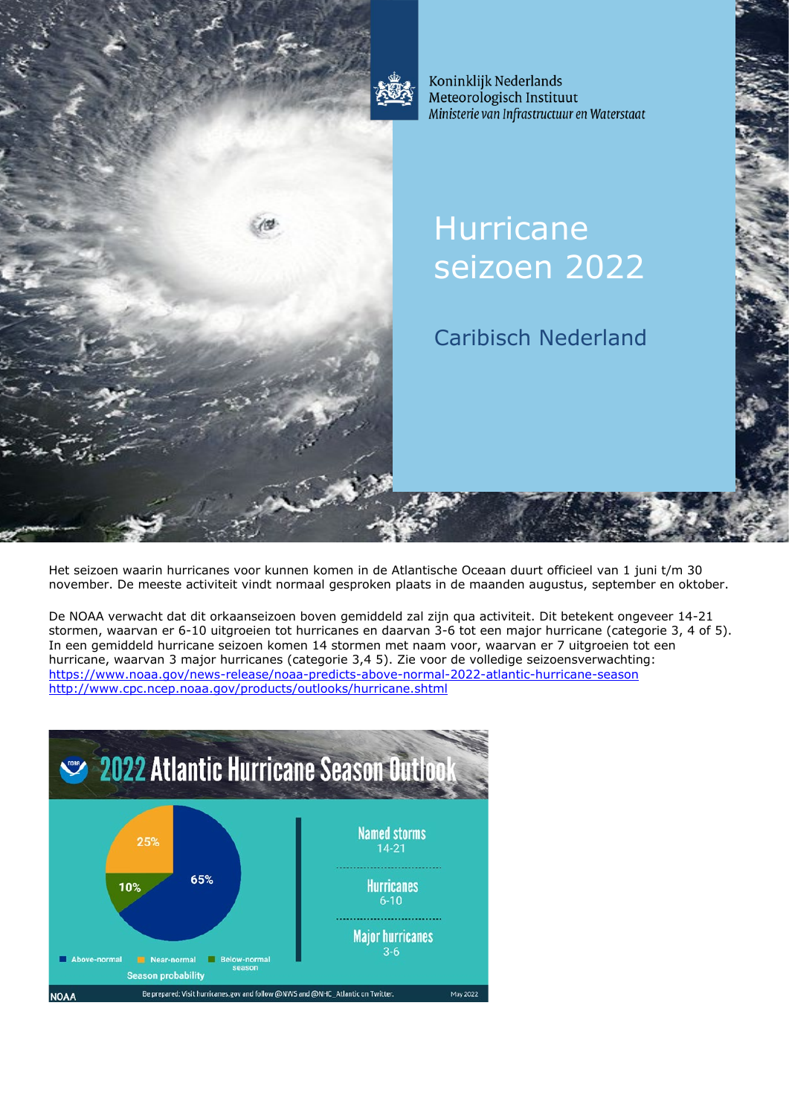

Koninklijk Nederlands Meteorologisch Instituut Ministerie van Infrastructuur en Waterstaat

# **Hurricane** seizoen 2022

Caribisch Nederland

Het seizoen waarin hurricanes voor kunnen komen in de Atlantische Oceaan duurt officieel van 1 juni t/m 30 november. De meeste activiteit vindt normaal gesproken plaats in de maanden augustus, september en oktober.

De NOAA verwacht dat dit orkaanseizoen boven gemiddeld zal zijn qua activiteit. Dit betekent ongeveer 14-21 stormen, waarvan er 6-10 uitgroeien tot hurricanes en daarvan 3-6 tot een major hurricane (categorie 3, 4 of 5). In een gemiddeld hurricane seizoen komen 14 stormen met naam voor, waarvan er 7 uitgroeien tot een hurricane, waarvan 3 major hurricanes (categorie 3,4 5). Zie voor de volledige seizoensverwachting: <https://www.noaa.gov/news-release/noaa-predicts-above-normal-2022-atlantic-hurricane-season> <http://www.cpc.ncep.noaa.gov/products/outlooks/hurricane.shtml>

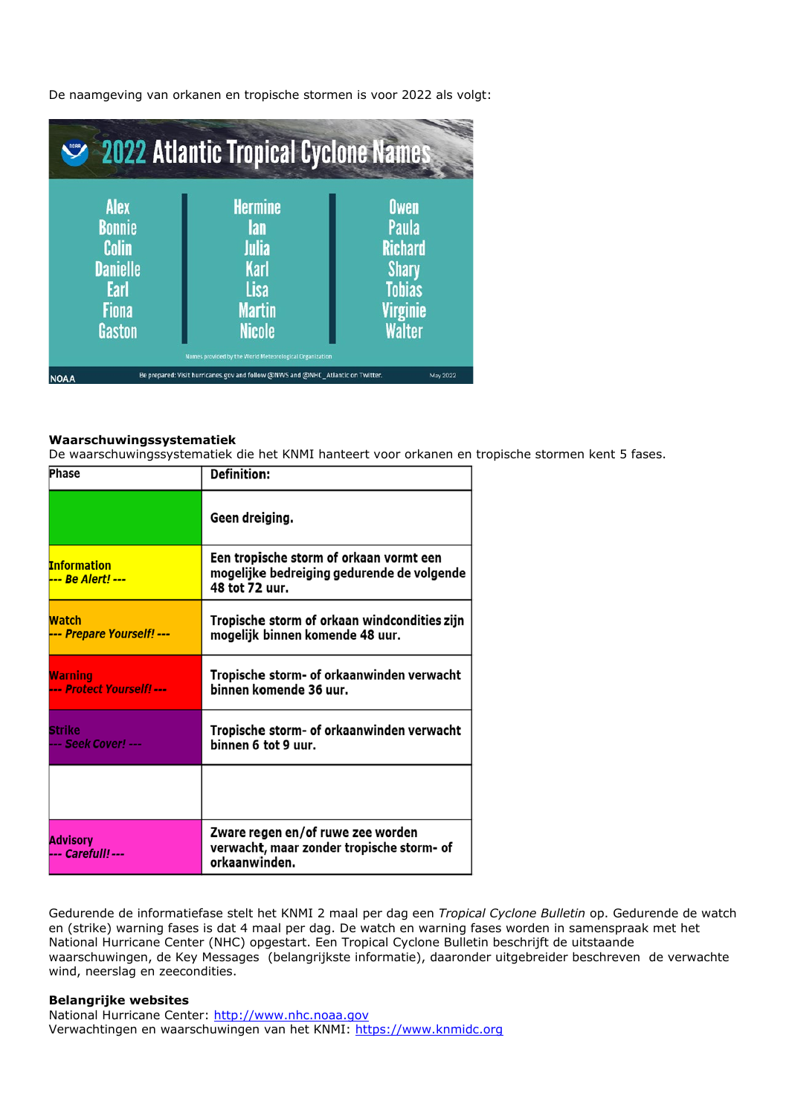

De naamgeving van orkanen en tropische stormen is voor 2022 als volgt:

## **Waarschuwingssystematiek**

De waarschuwingssystematiek die het KNMI hanteert voor orkanen en tropische stormen kent 5 fases.

| <b>Phase</b>                            | <b>Definition:</b>                                                                                      |
|-----------------------------------------|---------------------------------------------------------------------------------------------------------|
|                                         | Geen dreiging.                                                                                          |
| <b>Information</b><br>--- Be Alert! --- | Een tropische storm of orkaan vormt een<br>mogelijke bedreiging gedurende de volgende<br>48 tot 72 uur. |
| Watch<br>--- Prepare Yourself! ---      | Tropische storm of orkaan windcondities zijn<br>mogelijk binnen komende 48 uur.                         |
| Warning<br>--- Protect Yourself! ---    | Tropische storm- of orkaanwinden verwacht<br>binnen komende 36 uur.                                     |
| Strike<br>--- Seek Cover! ---           | Tropische storm- of orkaanwinden verwacht<br>binnen 6 tot 9 uur.                                        |
|                                         |                                                                                                         |
| Advisory<br>--- Carefull! ---           | Zware regen en/of ruwe zee worden<br>verwacht, maar zonder tropische storm- of<br>orkaanwinden.         |

Gedurende de informatiefase stelt het KNMI 2 maal per dag een *Tropical Cyclone Bulletin* op. Gedurende de watch en (strike) warning fases is dat 4 maal per dag. De watch en warning fases worden in samenspraak met het National Hurricane Center (NHC) opgestart. Een Tropical Cyclone Bulletin beschrijft de uitstaande waarschuwingen, de Key Messages (belangrijkste informatie), daaronder uitgebreider beschreven de verwachte wind, neerslag en zeecondities.

# **Belangrijke websites**

National Hurricane Center: [http://www.nhc.noaa.gov](http://www.nhc.noaa.gov/) Verwachtingen en waarschuwingen van het KNMI: [https://www.knmidc.org](https://www.knmidc.org/)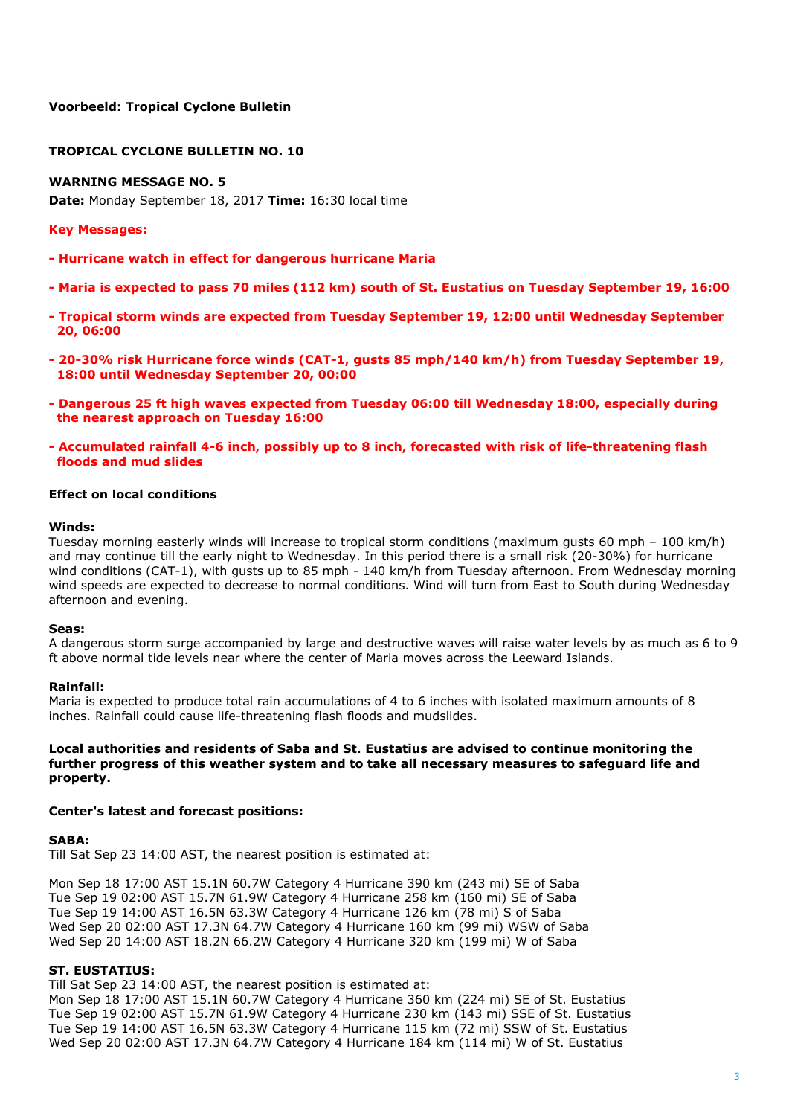# **TROPICAL CYCLONE BULLETIN NO. 10**

# **WARNING MESSAGE NO. 5**

**Date:** Monday September 18, 2017 **Time:** 16:30 local time

## **Key Messages:**

- **- Hurricane watch in effect for dangerous hurricane Maria**
- **- Maria is expected to pass 70 miles (112 km) south of St. Eustatius on Tuesday September 19, 16:00**
- **- Tropical storm winds are expected from Tuesday September 19, 12:00 until Wednesday September 20, 06:00**
- **- 20-30% risk Hurricane force winds (CAT-1, gusts 85 mph/140 km/h) from Tuesday September 19, 18:00 until Wednesday September 20, 00:00**
- **- Dangerous 25 ft high waves expected from Tuesday 06:00 till Wednesday 18:00, especially during the nearest approach on Tuesday 16:00**
- **- Accumulated rainfall 4-6 inch, possibly up to 8 inch, forecasted with risk of life-threatening flash floods and mud slides**

## **Effect on local conditions**

#### **Winds:**

Tuesday morning easterly winds will increase to tropical storm conditions (maximum gusts 60 mph – 100 km/h) and may continue till the early night to Wednesday. In this period there is a small risk (20-30%) for hurricane wind conditions (CAT-1), with gusts up to 85 mph - 140 km/h from Tuesday afternoon. From Wednesday morning wind speeds are expected to decrease to normal conditions. Wind will turn from East to South during Wednesday afternoon and evening.

#### **Seas:**

A dangerous storm surge accompanied by large and destructive waves will raise water levels by as much as 6 to 9 ft above normal tide levels near where the center of Maria moves across the Leeward Islands.

#### **Rainfall:**

Maria is expected to produce total rain accumulations of 4 to 6 inches with isolated maximum amounts of 8 inches. Rainfall could cause life-threatening flash floods and mudslides.

# **Local authorities and residents of Saba and St. Eustatius are advised to continue monitoring the further progress of this weather system and to take all necessary measures to safeguard life and property.**

#### **Center's latest and forecast positions:**

#### **SABA:**

Till Sat Sep 23 14:00 AST, the nearest position is estimated at:

Mon Sep 18 17:00 AST 15.1N 60.7W Category 4 Hurricane 390 km (243 mi) SE of Saba Tue Sep 19 02:00 AST 15.7N 61.9W Category 4 Hurricane 258 km (160 mi) SE of Saba Tue Sep 19 14:00 AST 16.5N 63.3W Category 4 Hurricane 126 km (78 mi) S of Saba Wed Sep 20 02:00 AST 17.3N 64.7W Category 4 Hurricane 160 km (99 mi) WSW of Saba Wed Sep 20 14:00 AST 18.2N 66.2W Category 4 Hurricane 320 km (199 mi) W of Saba

# **ST. EUSTATIUS:**

Till Sat Sep 23 14:00 AST, the nearest position is estimated at:

Mon Sep 18 17:00 AST 15.1N 60.7W Category 4 Hurricane 360 km (224 mi) SE of St. Eustatius Tue Sep 19 02:00 AST 15.7N 61.9W Category 4 Hurricane 230 km (143 mi) SSE of St. Eustatius Tue Sep 19 14:00 AST 16.5N 63.3W Category 4 Hurricane 115 km (72 mi) SSW of St. Eustatius Wed Sep 20 02:00 AST 17.3N 64.7W Category 4 Hurricane 184 km (114 mi) W of St. Eustatius